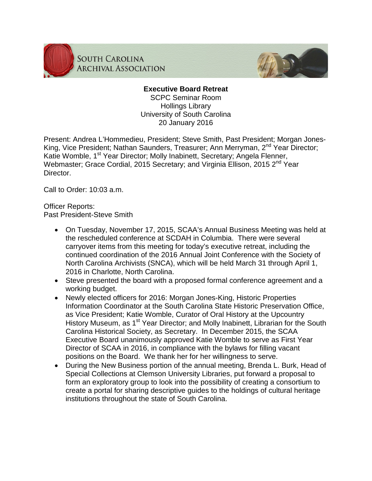

**SOUTH CAROLINA ARCHIVAL ASSOCIATION** 



## **Executive Board Retreat**

SCPC Seminar Room Hollings Library University of South Carolina 20 January 2016

Present: Andrea L'Hommedieu, President; Steve Smith, Past President; Morgan Jones-King, Vice President; Nathan Saunders, Treasurer; Ann Merryman, 2<sup>nd</sup> Year Director; Katie Womble, 1<sup>st</sup> Year Director; Molly Inabinett, Secretary; Angela Flenner, Webmaster; Grace Cordial, 2015 Secretary; and Virginia Ellison, 2015 2<sup>nd</sup> Year Director.

Call to Order: 10:03 a.m.

Officer Reports: Past President-Steve Smith

- On Tuesday, November 17, 2015, SCAA's Annual Business Meeting was held at the rescheduled conference at SCDAH in Columbia. There were several carryover items from this meeting for today's executive retreat, including the continued coordination of the 2016 Annual Joint Conference with the Society of North Carolina Archivists (SNCA), which will be held March 31 through April 1, 2016 in Charlotte, North Carolina.
- Steve presented the board with a proposed formal conference agreement and a working budget.
- Newly elected officers for 2016: Morgan Jones-King, Historic Properties Information Coordinator at the South Carolina State Historic Preservation Office, as Vice President; Katie Womble, Curator of Oral History at the Upcountry History Museum, as 1<sup>st</sup> Year Director; and Molly Inabinett, Librarian for the South Carolina Historical Society, as Secretary. In December 2015, the SCAA Executive Board unanimously approved Katie Womble to serve as First Year Director of SCAA in 2016, in compliance with the bylaws for filling vacant positions on the Board. We thank her for her willingness to serve.
- During the New Business portion of the annual meeting, Brenda L. Burk, Head of Special Collections at Clemson University Libraries, put forward a proposal to form an exploratory group to look into the possibility of creating a consortium to create a portal for sharing descriptive guides to the holdings of cultural heritage institutions throughout the state of South Carolina.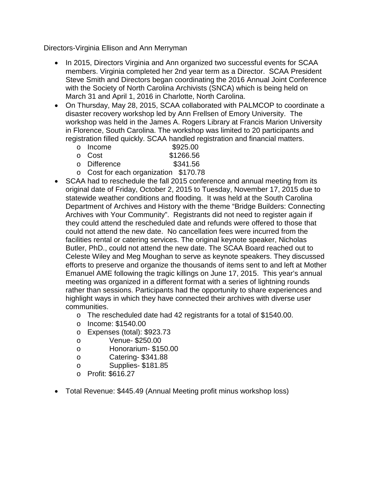Directors-Virginia Ellison and Ann Merryman

- In 2015, Directors Virginia and Ann organized two successful events for SCAA members. Virginia completed her 2nd year term as a Director. SCAA President Steve Smith and Directors began coordinating the 2016 Annual Joint Conference with the Society of North Carolina Archivists (SNCA) which is being held on March 31 and April 1, 2016 in Charlotte, North Carolina.
- On Thursday, May 28, 2015, SCAA collaborated with PALMCOP to coordinate a disaster recovery workshop led by Ann Frellsen of Emory University. The workshop was held in the James A. Rogers Library at Francis Marion University in Florence, South Carolina. The workshop was limited to 20 participants and registration filled quickly. SCAA handled registration and financial matters.

|              |  | $\mathbf{A} \cdot \mathbf{B} \cdot \mathbf{B} \cdot \mathbf{B}$ |
|--------------|--|-----------------------------------------------------------------|
| o Difference |  | \$341.56                                                        |
| o Cost       |  | \$1266.56                                                       |
| o Income     |  | \$925.00                                                        |

- o Cost for each organization \$170.78
- SCAA had to reschedule the fall 2015 conference and annual meeting from its original date of Friday, October 2, 2015 to Tuesday, November 17, 2015 due to statewide weather conditions and flooding. It was held at the South Carolina Department of Archives and History with the theme "Bridge Builders: Connecting Archives with Your Community". Registrants did not need to register again if they could attend the rescheduled date and refunds were offered to those that could not attend the new date. No cancellation fees were incurred from the facilities rental or catering services. The original keynote speaker, Nicholas Butler, PhD., could not attend the new date. The SCAA Board reached out to Celeste Wiley and Meg Moughan to serve as keynote speakers. They discussed efforts to preserve and organize the thousands of items sent to and left at Mother Emanuel AME following the tragic killings on June 17, 2015. This year's annual meeting was organized in a different format with a series of lightning rounds rather than sessions. Participants had the opportunity to share experiences and highlight ways in which they have connected their archives with diverse user communities.
	- o The rescheduled date had 42 registrants for a total of \$1540.00.
	- o Income: \$1540.00
	- o Expenses (total): \$923.73
	- o Venue- \$250.00
	- o Honorarium- \$150.00
	- o Catering- \$341.88
	- o Supplies- \$181.85
	- o Profit: \$616.27
- Total Revenue: \$445.49 (Annual Meeting profit minus workshop loss)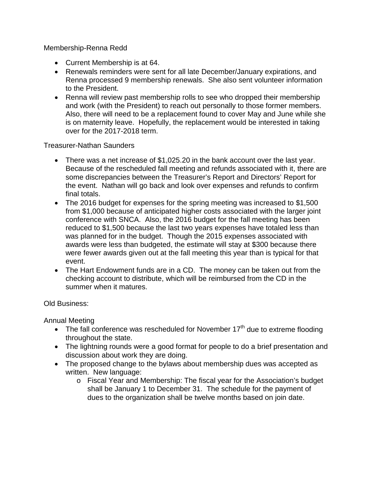Membership-Renna Redd

- Current Membership is at 64.
- Renewals reminders were sent for all late December/January expirations, and Renna processed 9 membership renewals. She also sent volunteer information to the President.
- Renna will review past membership rolls to see who dropped their membership and work (with the President) to reach out personally to those former members. Also, there will need to be a replacement found to cover May and June while she is on maternity leave. Hopefully, the replacement would be interested in taking over for the 2017-2018 term.

Treasurer-Nathan Saunders

- There was a net increase of \$1,025.20 in the bank account over the last year. Because of the rescheduled fall meeting and refunds associated with it, there are some discrepancies between the Treasurer's Report and Directors' Report for the event. Nathan will go back and look over expenses and refunds to confirm final totals.
- The 2016 budget for expenses for the spring meeting was increased to \$1,500 from \$1,000 because of anticipated higher costs associated with the larger joint conference with SNCA. Also, the 2016 budget for the fall meeting has been reduced to \$1,500 because the last two years expenses have totaled less than was planned for in the budget. Though the 2015 expenses associated with awards were less than budgeted, the estimate will stay at \$300 because there were fewer awards given out at the fall meeting this year than is typical for that event.
- The Hart Endowment funds are in a CD. The money can be taken out from the checking account to distribute, which will be reimbursed from the CD in the summer when it matures.

Old Business:

Annual Meeting

- The fall conference was rescheduled for November  $17<sup>th</sup>$  due to extreme flooding throughout the state.
- The lightning rounds were a good format for people to do a brief presentation and discussion about work they are doing.
- The proposed change to the bylaws about membership dues was accepted as written. New language:
	- o Fiscal Year and Membership: The fiscal year for the Association's budget shall be January 1 to December 31. The schedule for the payment of dues to the organization shall be twelve months based on join date.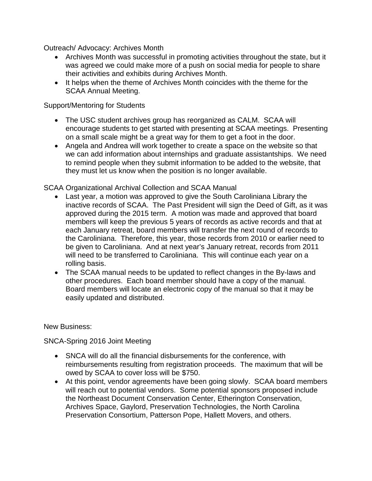Outreach/ Advocacy: Archives Month

- Archives Month was successful in promoting activities throughout the state, but it was agreed we could make more of a push on social media for people to share their activities and exhibits during Archives Month.
- It helps when the theme of Archives Month coincides with the theme for the SCAA Annual Meeting.

Support/Mentoring for Students

- The USC student archives group has reorganized as CALM. SCAA will encourage students to get started with presenting at SCAA meetings. Presenting on a small scale might be a great way for them to get a foot in the door.
- Angela and Andrea will work together to create a space on the website so that we can add information about internships and graduate assistantships. We need to remind people when they submit information to be added to the website, that they must let us know when the position is no longer available.

## SCAA Organizational Archival Collection and SCAA Manual

- Last year, a motion was approved to give the South Caroliniana Library the inactive records of SCAA. The Past President will sign the Deed of Gift, as it was approved during the 2015 term. A motion was made and approved that board members will keep the previous 5 years of records as active records and that at each January retreat, board members will transfer the next round of records to the Caroliniana. Therefore, this year, those records from 2010 or earlier need to be given to Caroliniana. And at next year's January retreat, records from 2011 will need to be transferred to Caroliniana. This will continue each year on a rolling basis.
- The SCAA manual needs to be updated to reflect changes in the By-laws and other procedures. Each board member should have a copy of the manual. Board members will locate an electronic copy of the manual so that it may be easily updated and distributed.

New Business:

SNCA-Spring 2016 Joint Meeting

- SNCA will do all the financial disbursements for the conference, with reimbursements resulting from registration proceeds. The maximum that will be owed by SCAA to cover loss will be \$750.
- At this point, vendor agreements have been going slowly. SCAA board members will reach out to potential vendors. Some potential sponsors proposed include the Northeast Document Conservation Center, Etherington Conservation, Archives Space, Gaylord, Preservation Technologies, the North Carolina Preservation Consortium, Patterson Pope, Hallett Movers, and others.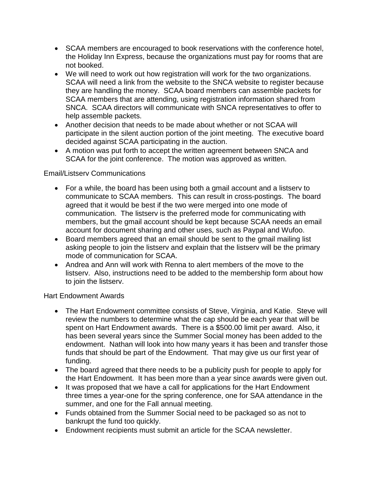- SCAA members are encouraged to book reservations with the conference hotel, the Holiday Inn Express, because the organizations must pay for rooms that are not booked.
- We will need to work out how registration will work for the two organizations. SCAA will need a link from the website to the SNCA website to register because they are handling the money. SCAA board members can assemble packets for SCAA members that are attending, using registration information shared from SNCA. SCAA directors will communicate with SNCA representatives to offer to help assemble packets.
- Another decision that needs to be made about whether or not SCAA will participate in the silent auction portion of the joint meeting. The executive board decided against SCAA participating in the auction.
- A motion was put forth to accept the written agreement between SNCA and SCAA for the joint conference. The motion was approved as written.

## Email/Listserv Communications

- For a while, the board has been using both a gmail account and a listserv to communicate to SCAA members. This can result in cross-postings. The board agreed that it would be best if the two were merged into one mode of communication. The listserv is the preferred mode for communicating with members, but the gmail account should be kept because SCAA needs an email account for document sharing and other uses, such as Paypal and Wufoo.
- Board members agreed that an email should be sent to the gmail mailing list asking people to join the listserv and explain that the listserv will be the primary mode of communication for SCAA.
- Andrea and Ann will work with Renna to alert members of the move to the listserv. Also, instructions need to be added to the membership form about how to join the listserv.

Hart Endowment Awards

- The Hart Endowment committee consists of Steve, Virginia, and Katie. Steve will review the numbers to determine what the cap should be each year that will be spent on Hart Endowment awards. There is a \$500.00 limit per award. Also, it has been several years since the Summer Social money has been added to the endowment. Nathan will look into how many years it has been and transfer those funds that should be part of the Endowment. That may give us our first year of funding.
- The board agreed that there needs to be a publicity push for people to apply for the Hart Endowment. It has been more than a year since awards were given out.
- It was proposed that we have a call for applications for the Hart Endowment three times a year-one for the spring conference, one for SAA attendance in the summer, and one for the Fall annual meeting.
- Funds obtained from the Summer Social need to be packaged so as not to bankrupt the fund too quickly.
- Endowment recipients must submit an article for the SCAA newsletter.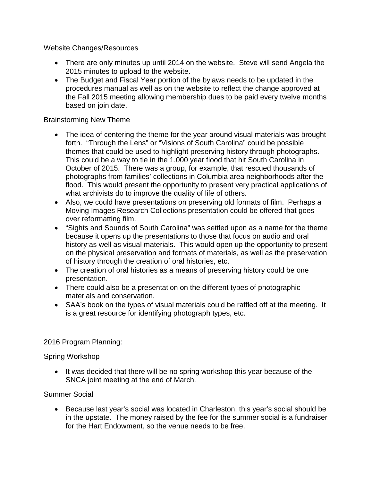Website Changes/Resources

- There are only minutes up until 2014 on the website. Steve will send Angela the 2015 minutes to upload to the website.
- The Budget and Fiscal Year portion of the bylaws needs to be updated in the procedures manual as well as on the website to reflect the change approved at the Fall 2015 meeting allowing membership dues to be paid every twelve months based on join date.

## Brainstorming New Theme

- The idea of centering the theme for the year around visual materials was brought forth. "Through the Lens" or "Visions of South Carolina" could be possible themes that could be used to highlight preserving history through photographs. This could be a way to tie in the 1,000 year flood that hit South Carolina in October of 2015. There was a group, for example, that rescued thousands of photographs from families' collections in Columbia area neighborhoods after the flood. This would present the opportunity to present very practical applications of what archivists do to improve the quality of life of others.
- Also, we could have presentations on preserving old formats of film. Perhaps a Moving Images Research Collections presentation could be offered that goes over reformatting film.
- "Sights and Sounds of South Carolina" was settled upon as a name for the theme because it opens up the presentations to those that focus on audio and oral history as well as visual materials. This would open up the opportunity to present on the physical preservation and formats of materials, as well as the preservation of history through the creation of oral histories, etc.
- The creation of oral histories as a means of preserving history could be one presentation.
- There could also be a presentation on the different types of photographic materials and conservation.
- SAA's book on the types of visual materials could be raffled off at the meeting. It is a great resource for identifying photograph types, etc.

# 2016 Program Planning:

### Spring Workshop

• It was decided that there will be no spring workshop this year because of the SNCA joint meeting at the end of March.

# Summer Social

• Because last year's social was located in Charleston, this year's social should be in the upstate. The money raised by the fee for the summer social is a fundraiser for the Hart Endowment, so the venue needs to be free.